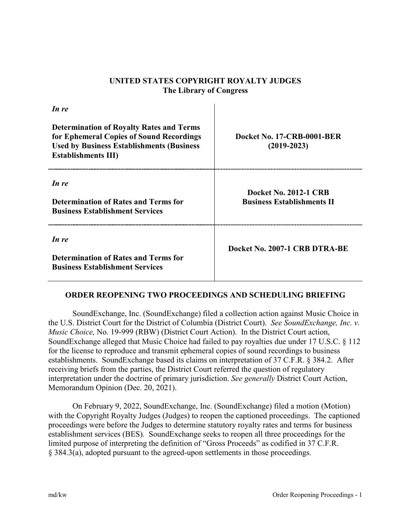## **UNITED STATES COPYRIGHT ROYALTY JUDGES The Library of Congress**

| In re                                                                                                                                                                          |                                                                   |
|--------------------------------------------------------------------------------------------------------------------------------------------------------------------------------|-------------------------------------------------------------------|
| <b>Determination of Royalty Rates and Terms</b><br>for Ephemeral Copies of Sound Recordings<br><b>Used by Business Establishments (Business)</b><br><b>Establishments III)</b> | Docket No. 17-CRB-0001-BER<br>$(2019 - 2023)$                     |
| In re<br><b>Determination of Rates and Terms for</b><br><b>Business Establishment Services</b>                                                                                 | <b>Docket No. 2012-1 CRB</b><br><b>Business Establishments II</b> |
| In re<br><b>Determination of Rates and Terms for</b><br><b>Business Establishment Services</b>                                                                                 | Docket No. 2007-1 CRB DTRA-BE                                     |

## **ORDER REOPENING TWO PROCEEDINGS AND SCHEDULING BRIEFING**

SoundExchange, Inc. (SoundExchange) filed a collection action against Music Choice in the U.S. District Court for the District of Columbia (District Court). *See SoundExchange, Inc. v. Music Choice,* No. 19-999 (RBW) (District Court Action). In the District Court action, SoundExchange alleged that Music Choice had failed to pay royalties due under 17 U.S.C. § 112 for the license to reproduce and transmit ephemeral copies of sound recordings to business establishments. SoundExchange based its claims on interpretation of 37 C.F.R. § 384.2. After receiving briefs from the parties, the District Court referred the question of regulatory interpretation under the doctrine of primary jurisdiction. *See generally* District Court Action, Memorandum Opinion (Dec. 20, 2021).

On February 9, 2022, SoundExchange, Inc. (SoundExchange) filed a motion (Motion) with the Copyright Royalty Judges (Judges) to reopen the captioned proceedings. The captioned proceedings were before the Judges to determine statutory royalty rates and terms for business establishment services (BES). SoundExchange seeks to reopen all three proceedings for the limited purpose of interpreting the definition of "Gross Proceeds" as codified in 37 C.F.R. § 384.3(a), adopted pursuant to the agreed-upon settlements in those proceedings.